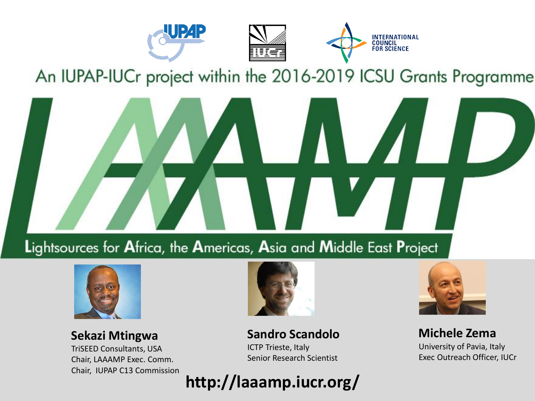

# An IUPAP-IUCr project within the 2016-2019 ICSU Grants Programme



## Lightsources for Africa, the Americas, Asia and Middle East Project



**Sekazi Mtingwa**

TriSEED Consultants, USA Chair, LAAAMP Exec. Comm. Chair, IUPAP C13 Commission



**Sandro Scandolo**

ICTP Trieste, Italy Senior Research Scientist

## **http://laaamp.iucr.org/**



**Michele Zema** University of Pavia, Italy Exec Outreach Officer, IUCr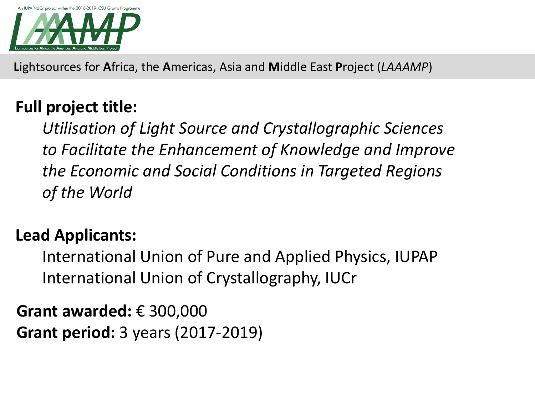



**L**ightsources for **A**frica, the **A**mericas, Asia and **M**iddle East **P**roject (*LAAAMP*)

## **Full project title:**

*Utilisation of Light Source and Crystallographic Sciences to Facilitate the Enhancement of Knowledge and Improve the Economic and Social Conditions in Targeted Regions of the World*

## **Lead Applicants:**

International Union of Pure and Applied Physics, IUPAP International Union of Crystallography, IUCr

**Grant awarded:** € 300,000 **Grant period:** 3 years (2017-2019)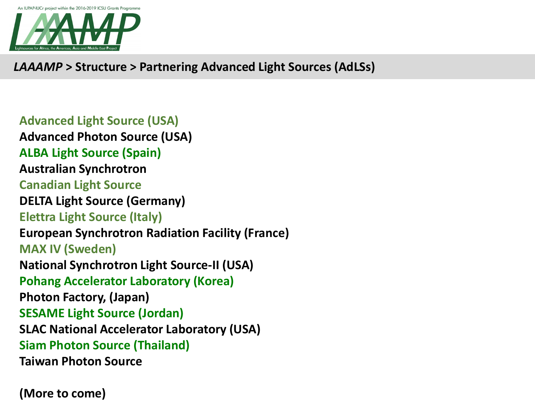

*LAAAMP* **> Structure > Partnering Advanced Light Sources (AdLSs)**

**Advanced Light Source (USA) Advanced Photon Source (USA) ALBA Light Source (Spain) Australian Synchrotron Canadian Light Source DELTA Light Source (Germany) Elettra Light Source (Italy) European Synchrotron Radiation Facility (France) MAX IV (Sweden) National Synchrotron Light Source-II (USA) Pohang Accelerator Laboratory (Korea) Photon Factory, (Japan) SESAME Light Source (Jordan) SLAC National Accelerator Laboratory (USA) Siam Photon Source (Thailand) Taiwan Photon Source**

**(More to come)**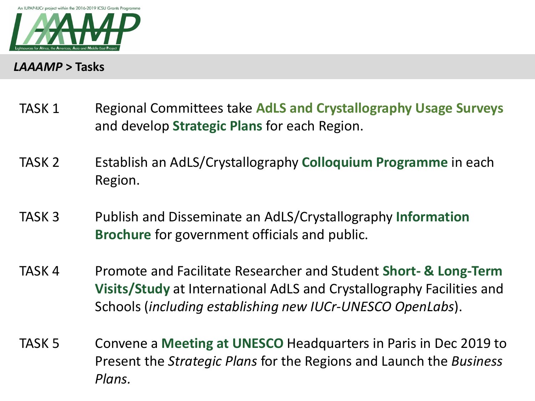

*LAAAMP* **> Tasks**

- Regional Committees take **AdLS and Crystallography Usage Surveys**  and develop **Strategic Plans** for each Region. TASK 1
- Establish an AdLS/Crystallography **Colloquium Programme** in each Region. TASK 2
- Publish and Disseminate an AdLS/Crystallography **Information Brochure** for government officials and public. TASK 3
- Promote and Facilitate Researcher and Student **Short- & Long-Term Visits/Study** at International AdLS and Crystallography Facilities and Schools (*including establishing new IUCr-UNESCO OpenLabs*). TASK 4
- Convene a **Meeting at UNESCO** Headquarters in Paris in Dec 2019 to Present the *Strategic Plans* for the Regions and Launch the *Business Plans.* TASK 5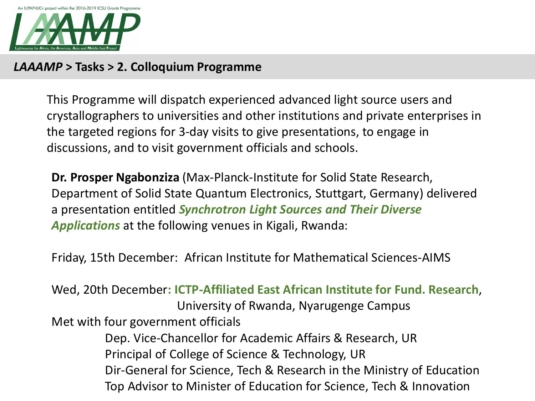

### *LAAAMP* **> Tasks > 2. Colloquium Programme**

This Programme will dispatch experienced advanced light source users and crystallographers to universities and other institutions and private enterprises in the targeted regions for 3-day visits to give presentations, to engage in discussions, and to visit government officials and schools.

**Dr. Prosper Ngabonziza** (Max-Planck-Institute for Solid State Research, Department of Solid State Quantum Electronics, Stuttgart, Germany) delivered a presentation entitled *Synchrotron Light Sources and Their Diverse Applications* at the following venues in Kigali, Rwanda:

Friday, 15th December: African Institute for Mathematical Sciences-AIMS

Wed, 20th December**: ICTP-Affiliated East African Institute for Fund. Research**, University of Rwanda, Nyarugenge Campus Met with four government officials Dep. Vice-Chancellor for Academic Affairs & Research, UR Principal of College of Science & Technology, UR Dir-General for Science, Tech & Research in the Ministry of Education Top Advisor to Minister of Education for Science, Tech & Innovation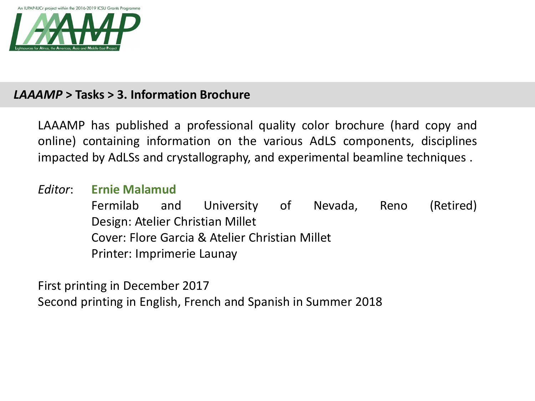

### *LAAAMP* **> Tasks > 3. Information Brochure**

LAAAMP has published a professional quality color brochure (hard copy and online) containing information on the various AdLS components, disciplines impacted by AdLSs and crystallography, and experimental beamline techniques .

## *Editor*: **Ernie Malamud** Fermilab and University of Nevada, Reno (Retired) Design: Atelier Christian Millet Cover: Flore Garcia & Atelier Christian Millet Printer: Imprimerie Launay

First printing in December 2017 Second printing in English, French and Spanish in Summer 2018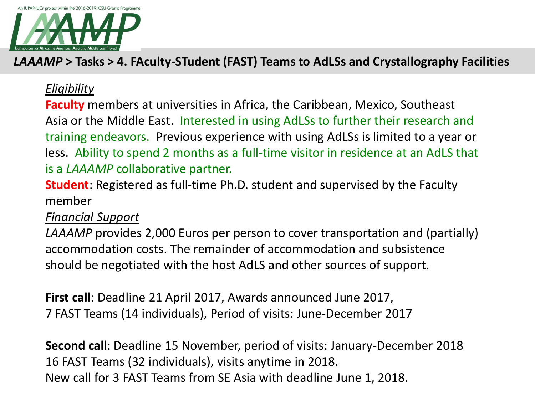

### *LAAAMP* **> Tasks > 4. FAculty-STudent (FAST) Teams to AdLSs and Crystallography Facilities**

#### *Eligibility*

**Faculty** members at universities in Africa, the Caribbean, Mexico, Southeast Asia or the Middle East. Interested in using AdLSs to further their research and training endeavors. Previous experience with using AdLSs is limited to a year or less. Ability to spend 2 months as a full-time visitor in residence at an AdLS that is a *LAAAMP* collaborative partner.

**Student**: Registered as full-time Ph.D. student and supervised by the Faculty member

*Financial Support*

*LAAAMP* provides 2,000 Euros per person to cover transportation and (partially) accommodation costs. The remainder of accommodation and subsistence should be negotiated with the host AdLS and other sources of support.

**First call**: Deadline 21 April 2017, Awards announced June 2017, 7 FAST Teams (14 individuals), Period of visits: June-December 2017

**Second call**: Deadline 15 November, period of visits: January-December 2018 16 FAST Teams (32 individuals), visits anytime in 2018. New call for 3 FAST Teams from SE Asia with deadline June 1, 2018.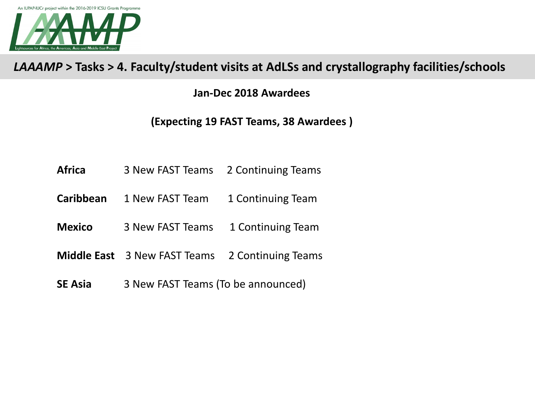

### *LAAAMP* **> Tasks > 4. Faculty/student visits at AdLSs and crystallography facilities/schools**

**Jan-Dec 2018 Awardees**

**(Expecting 19 FAST Teams, 38 Awardees )**

- **Africa** 3 New FAST Teams 2 Continuing Teams
- **Caribbean** 1 New FAST Team 1 Continuing Team
- **Mexico** 3 New FAST Teams 1 Continuing Team
- **Middle East** 3 New FAST Teams 2 Continuing Teams
- **SE Asia** 3 New FAST Teams (To be announced)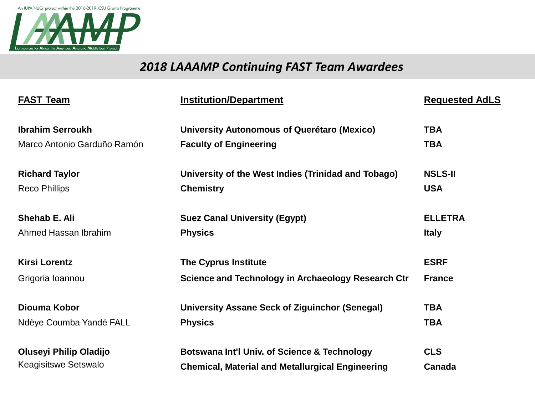

### *2018 LAAAMP Continuing FAST Team Awardees*

| <b>FAST Team</b>              | <b>Institution/Department</b>                           | <b>Requested AdLS</b> |
|-------------------------------|---------------------------------------------------------|-----------------------|
| <b>Ibrahim Serroukh</b>       | University Autonomous of Querétaro (Mexico)             | <b>TBA</b>            |
| Marco Antonio Garduño Ramón   | <b>Faculty of Engineering</b>                           | <b>TBA</b>            |
| <b>Richard Taylor</b>         | University of the West Indies (Trinidad and Tobago)     | <b>NSLS-II</b>        |
| <b>Reco Phillips</b>          | <b>Chemistry</b>                                        | <b>USA</b>            |
| Shehab E. Ali                 | <b>Suez Canal University (Egypt)</b>                    | <b>ELLETRA</b>        |
| Ahmed Hassan Ibrahim          | <b>Physics</b>                                          | <b>Italy</b>          |
| <b>Kirsi Lorentz</b>          | <b>The Cyprus Institute</b>                             | <b>ESRF</b>           |
| Grigoria Ioannou              | Science and Technology in Archaeology Research Ctr      | <b>France</b>         |
| Diouma Kobor                  | University Assane Seck of Ziguinchor (Senegal)          | <b>TBA</b>            |
| Ndèye Coumba Yandé FALL       | <b>Physics</b>                                          | <b>TBA</b>            |
| <b>Oluseyi Philip Oladijo</b> | <b>Botswana Int'l Univ. of Science &amp; Technology</b> | <b>CLS</b>            |
| Keagisitswe Setswalo          | <b>Chemical, Material and Metallurgical Engineering</b> | Canada                |